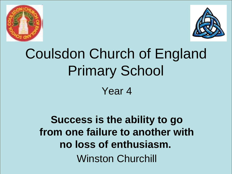



# Coulsdon Church of England Primary School Year 4

**Success is the ability to go from one failure to another with no loss of enthusiasm.** Winston Churchill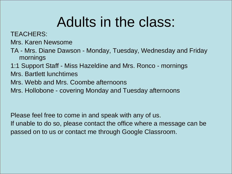## Adults in the class:

TEACHERS:

Mrs. Karen Newsome

- TA Mrs. Diane Dawson Monday, Tuesday, Wednesday and Friday mornings
- 1:1 Support Staff Miss Hazeldine and Mrs. Ronco mornings
- Mrs. Bartlett lunchtimes
- Mrs. Webb and Mrs. Coombe afternoons
- Mrs. Hollobone covering Monday and Tuesday afternoons

Please feel free to come in and speak with any of us.

If unable to do so, please contact the office where a message can be passed on to us or contact me through Google Classroom.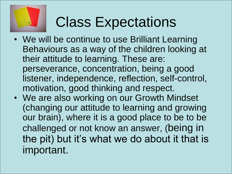

# Class Expectations

- We will be continue to use Brilliant Learning Behaviours as a way of the children looking at their attitude to learning. These are: perseverance, concentration, being a good listener, independence, reflection, self-control, motivation, good thinking and respect.
- We are also working on our Growth Mindset (changing our attitude to learning and growing our brain), where it is a good place to be to be challenged or not know an answer, (being in the pit) but it's what we do about it that is important.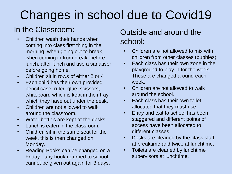## Changes in school due to Covid19

### In the Classroom:

- Children wash their hands when coming into class first thing in the morning, when going out to break, when coming in from break, before lunch, after lunch and use a sanatiser before going home.
- Children sit in rows of either 2 or 4
- Each child has their own provided pencil case, ruler, glue, scissors, whiteboard which is kept in their tray which they have out under the desk.
- Children are not allowed to walk around the classroom.
- Water bottles are kept at the desks.
- Lunch is eaten in the classroom.
- Children sit in the same seat for the week, this is then changed on Monday.
- Reading Books can be changed on a Friday - any book returned to school cannot be given out again for 3 days.

### Outside and around the school:

- Children are not allowed to mix with children from other classes (bubbles).
- Each class has their own zone in the playground to play in for the week. These are changed around each week.
- Children are not allowed to walk around the school.
- Each class has their own toilet allocated that they must use.
- Entry and exit to school has been staggered and different points of access have been allocated to different classes.
- Desks are cleaned by the class staff at breaktime and twice at lunchtime.
- Toilets are cleaned by lunchtime supervisors at lunchtime.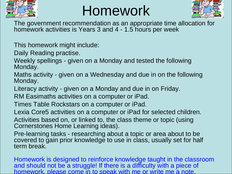

## Homework



The government recommendation as an appropriate time allocation for homework activities is Years 3 and 4 - 1.5 hours per week

This homework might include:

Daily Reading practise.

Weekly spellings - given on a Monday and tested the following Monday.

Maths activity - given on a Wednesday and due in on the following Monday.

Literacy activity - given on a Monday and due in on Friday.

RM Easimaths activities on a computer or iPad.

Times Table Rockstars on a computer or iPad.

Lexia Core5 activities on a computer or iPad for selected children.

Activities based on, or linked to, the class theme or topic (using Cornerstones Home Learning ideas).

Pre-learning tasks - researching about a topic or area about to be covered to gain prior knowledge to use in class, usually set for half term break.

Homework is designed to reinforce knowledge taught in the classroom and should not be a struggle! If there is a difficulty with a piece of homework, please come in to speak with me or write me a note.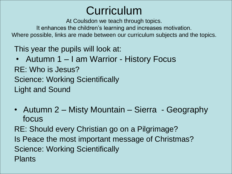## Curriculum

At Coulsdon we teach through topics.

It enhances the children's learning and increases motivation.

Where possible, links are made between our curriculum subjects and the topics.

This year the pupils will look at:

- Autumn 1 I am Warrior History Focus RE: Who is Jesus? Science: Working Scientifically Light and Sound
- Autumn 2 Misty Mountain Sierra Geography focus
- RE: Should every Christian go on a Pilgrimage?
- Is Peace the most important message of Christmas? Science: Working Scientifically Plants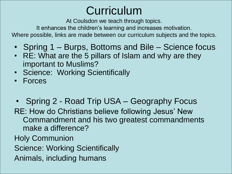## **Curriculum**

At Coulsdon we teach through topics.

It enhances the children's learning and increases motivation.

Where possible, links are made between our curriculum subjects and the topics.

- Spring 1 Burps, Bottoms and Bile Science focus
- RE: What are the 5 pillars of Islam and why are they important to Muslims?
- Science: Working Scientifically
- Forces
- Spring 2 Road Trip USA Geography Focus RE: How do Christians believe following Jesus' New Commandment and his two greatest commandments make a difference?
- Holy Communion
- Science: Working Scientifically
- Animals, including humans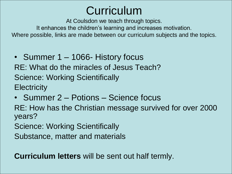### Curriculum

At Coulsdon we teach through topics.

It enhances the children's learning and increases motivation.

Where possible, links are made between our curriculum subjects and the topics.

• Summer 1 – 1066- History focus

RE: What do the miracles of Jesus Teach? Science: Working Scientifically **Electricity** 

• Summer 2 – Potions – Science focus

RE: How has the Christian message survived for over 2000 years?

Science: Working Scientifically

Substance, matter and materials

**Curriculum letters** will be sent out half termly.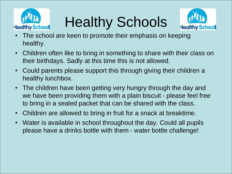

Healthy Schools



- The school are keen to promote their emphasis on keeping healthy.
- Children often like to bring in something to share with their class on their birthdays. Sadly at this time this is not allowed.
- Could parents please support this through giving their children a healthy lunchbox.
- The children have been getting very hungry through the day and we have been providing them with a plain biscuit - please feel free to bring in a sealed packet that can be shared with the class.
- Children are allowed to bring in fruit for a snack at breaktime.
- Water is available in school throughout the day. Could all pupils please have a drinks bottle with them - water bottle challenge!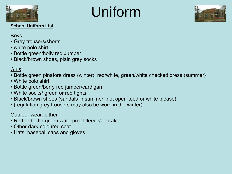

# Uniform



#### **School Uniform List**

#### **Boys**

- Grey trousers/shorts
- white polo shirt
- Bottle green/holly red Jumper
- Black/brown shoes, plain grey socks

#### Girls

- Bottle green pinafore dress (winter), red/white, green/white checked dress (summer)
- White polo shirt
- Bottle green/berry red jumper/cardigan
- White socks/ green or red tights
- Black/brown shoes (sandals in summer- not open-toed or white please)
- (regulation grey trousers may also be worn in the winter)

#### Outdoor wear: either-

- Red or bottle-green waterproof fleece/anorak
- Other dark-coloured coat
- Hats, baseball caps and gloves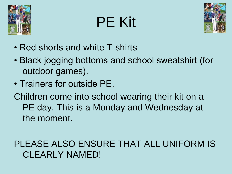

# PE Kit



- Red shorts and white T-shirts
- Black jogging bottoms and school sweatshirt (for outdoor games).
- Trainers for outside PE.

Children come into school wearing their kit on a PE day. This is a Monday and Wednesday at the moment.

### PLEASE ALSO ENSURE THAT ALL UNIFORM IS CLEARLY NAMED!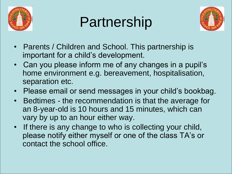

## Partnership



- Parents / Children and School. This partnership is important for a child's development.
- Can you please inform me of any changes in a pupil's home environment e.g. bereavement, hospitalisation, separation etc.
- Please email or send messages in your child's bookbag.
- Bedtimes the recommendation is that the average for an 8-year-old is 10 hours and 15 minutes, which can vary by up to an hour either way.
- If there is any change to who is collecting your child, please notify either myself or one of the class TA's or contact the school office.